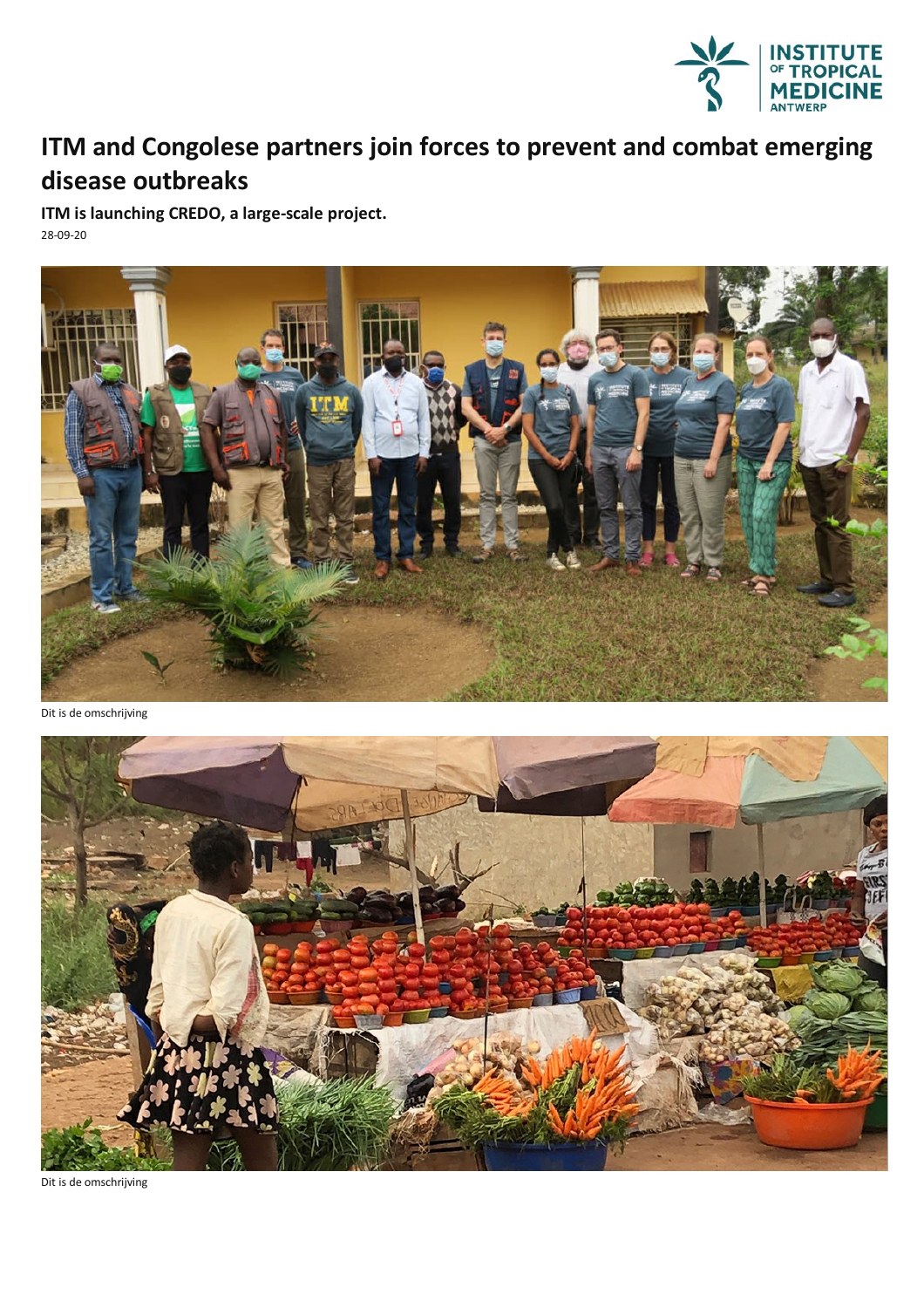

## **ITM and Congolese partners join forces to prevent and combat emerging disease outbreaks**

**ITM is launching CREDO, a large-scale project.** 28-09-20



Dit is de omschrijving



Dit is de omschrijving